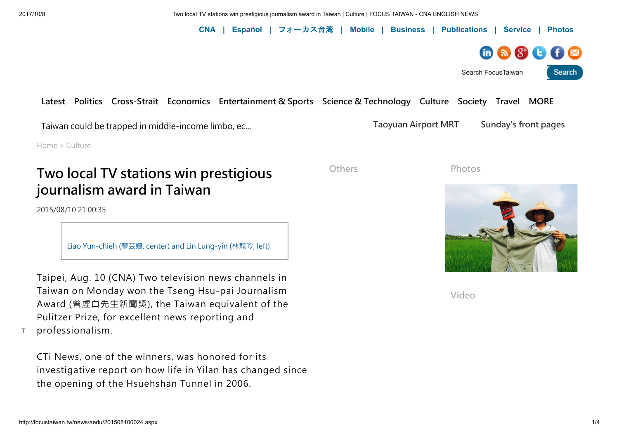

## [Latest](http://focustaiwan.tw/news/aall/list.aspx) [Politics](http://focustaiwan.tw/news/aipl/list.aspx) [Cross-Strait](http://focustaiwan.tw/news/acs/list.aspx) [Economics](http://focustaiwan.tw/news/aeco/list.aspx) [Entertainment](http://focustaiwan.tw/news/aeas/list.aspx) & Sports Science & [Technology](http://focustaiwan.tw/news/ast/list.aspx) [Culture](http://focustaiwan.tw/news/aedu/list.aspx) [Society](http://focustaiwan.tw/news/asoc/list.aspx) [Travel](http://focustaiwan.tw/topic/eng_forum/21/list.aspx) MORE

Taiwan could be trapped in [middle-income](http://focustaiwan.tw/news/aeco/201710080009.aspx) limbo, ec... The Sunday's front pages and [Taoyuan](http://focustaiwan.tw/topic/eng_forum/17/201702020002.aspx) Airport MRT [Sunday's](http://focustaiwan.tw/news/asoc/201710080002.aspx) front pages

[Home](http://focustaiwan.tw/) > [Culture](http://focustaiwan.tw/news/aedu/list.aspx)

# Two local TV stations win prestigious journalism award in Taiwan

2015/08/10 21:00:35

 $\top$ 

Liao Yun-chieh (廖芸婕, center) and Lin Lung-yin (林龍吟, left)

Taipei, Aug. 10 (CNA) Two television news channels in Taiwan on Monday won the Tseng Hsu-pai Journalism Award (曾虛白先生新聞獎), the Taiwan equivalent of the Pulitzer Prize, for excellent news reporting and professionalism.

CTi News, one of the winners, was honored for its investigative report on how life in Yilan has changed since the opening of the Hsuehshan Tunnel in 2006.

**[Others](http://focustaiwan.tw/news/aedu/list.aspx?page=1)** 

[Photos](http://focustaiwan.tw/photos/index.aspx)



[Video](http://focustaiwan.tw/video/index.aspx)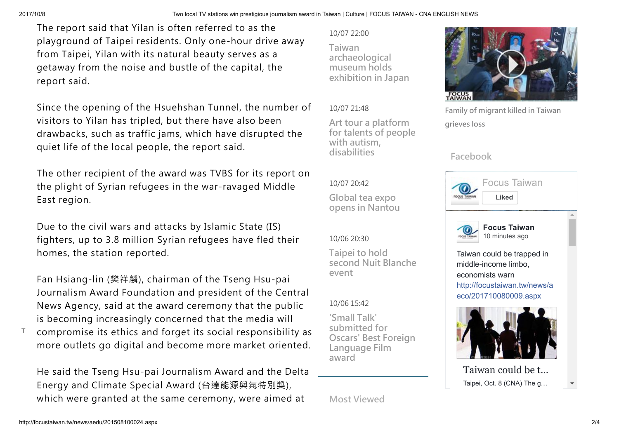The report said that Yilan is often referred to as the playground of Taipei residents. Only one-hour drive away from Taipei, Yilan with its natural beauty serves as a getaway from the noise and bustle of the capital, the report said.

Since the opening of the Hsuehshan Tunnel, the number of visitors to Yilan has tripled, but there have also been drawbacks, such as traffic jams, which have disrupted the quiet life of the local people, the report said.

The other recipient of the award was TVBS for its report on the plight of Syrian refugees in the war-ravaged Middle East region.

Due to the civil wars and attacks by Islamic State (IS) fighters, up to 3.8 million Syrian refugees have fled their homes, the station reported.

Fan Hsiang-lin (樊祥麟), chairman of the Tseng Hsu-pai Journalism Award Foundation and president of the Central News Agency, said at the award ceremony that the public is becoming increasingly concerned that the media will

compromise its ethics and forget its social responsibility as more outlets go digital and become more market oriented.  $\top$ 

He said the Tseng Hsu-pai Journalism Award and the Delta Energy and Climate Special Award (台達能源與氣特別獎), which were granted at the same ceremony, were aimed at

### 10/07 22:00

Taiwan [archaeological](http://focustaiwan.tw/news/aedu/201710070025.aspx) museum holds exhibition in Japan

### 10/07 21:48

Art tour a platform for talents of people with autism, [disabilities](http://focustaiwan.tw/news/aedu/201710070024.aspx)

10/07 20:42 Global tea expo opens in [Nantou](http://focustaiwan.tw/news/aedu/201710070021.aspx)

### 10/06 20:30

Taipei to hold second Nuit [Blanche](http://focustaiwan.tw/news/aedu/201710060029.aspx) event

### 10/06 15:42

'Small Talk' [submitted](http://focustaiwan.tw/news/aedu/201710060012.aspx) for Oscars' Best Foreign Language Film award



Family of [migrant](http://focustaiwan.tw/video/004329233.aspx?v=%2bO5Y9K8n5llqW6%2bzuI1aSQ%3d%3d&page=1) killed in Taiwan grieves loss

### Facebook



[Taiwan](https://l.facebook.com/l.php?u=http%3A%2F%2Ffocustaiwan.tw%2Fnews%2Faeco%2F201710080009.aspx&h=ATMftDLsIBs_gkQw69H4DAS-KgWistDITD0Jnf3YaFk6oyF24W5p5Hc8Et59yq7yyD9Zcd8Pg4_7q9QZKHYW4Yd0vTOI4dWd6sP_q1eYJijdNDfOv5n0wh4-6YQ6oqk8JEilxSvhigpoE5Jg94A_GhC-Xm8tiX1OLsBBlfHMLNh_ppR6aUDMlc7h7laTYP7A9D4ISwfrDX50fG0gcHru6moN-3K9-gcz3R-0EVkT2ktovippC41jzzakIjEsKe_P1XCd_1BcT8HDAQ24pVnaFVwPTXi3fACUOKSJb9Y) could be t… Taipei, Oct. 8 (CNA) The g…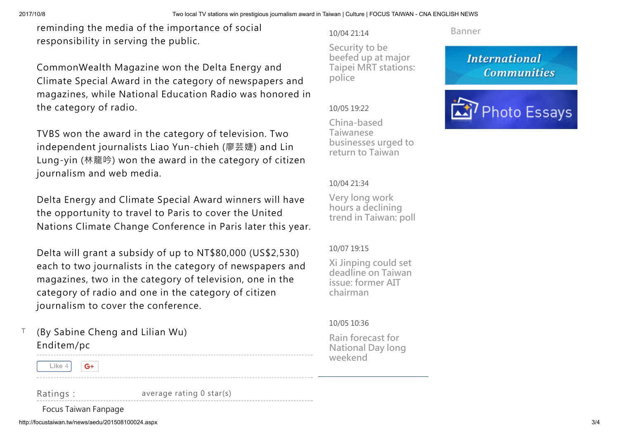reminding the media of the importance of social responsibility in serving the public.

CommonWealth Magazine won the Delta Energy and Climate Special Award in the category of newspapers and magazines, while National Education Radio was honored in the category of radio.

TVBS won the award in the category of television. Two independent journalists Liao Yun-chieh (廖芸婕) and Lin Lung-yin (林龍吟) won the award in the category of citizen journalism and web media.

Delta Energy and Climate Special Award winners will have the opportunity to travel to Paris to cover the United Nations Climate Change Conference in Paris later this year.

Delta will grant a subsidy of up to NT\$80,000 (US\$2,530) each to two journalists in the category of newspapers and magazines, two in the category of television, one in the category of radio and one in the category of citizen journalism to cover the conference.

#### (By Sabine Cheng and Lilian Wu) Enditem/pc  $\top$

### 10/04 21:14

Security to be beefed up at major Taipei MRT [stations:](http://focustaiwan.tw/news/afav/201710040027.aspx) police

### 10/05 19:22

[China-based](http://focustaiwan.tw/news/afav/201710050020.aspx) Taiwanese businesses urged to return to Taiwan

### 10/04 21:34

Very long work hours a [declining](http://focustaiwan.tw/news/afav/201710040028.aspx) trend in Taiwan: poll

### 10/07 19:15

Xi Jinping could set deadline on Taiwan issue: former AIT [chairman](http://focustaiwan.tw/news/afav/201710070016.aspx)

### 10/05 10:36

Rain forecast for National Day long [weekend](http://focustaiwan.tw/news/afav/201710050005.aspx)

Banner

**International Communities** 



Like 4  $G+$ 

Ratings: average rating 0 star(s)

Focus Taiwan Fanpage

http://focustaiwan.tw/news/aedu/201508100024.aspx 3/4